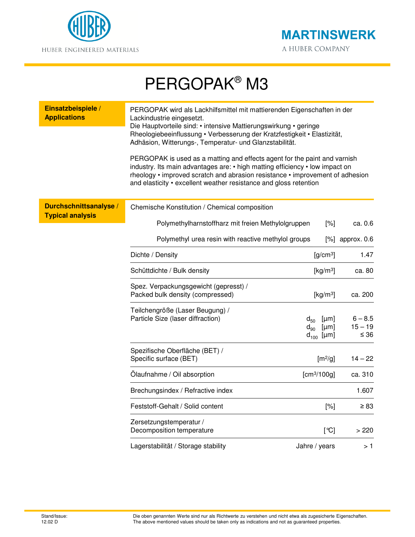



## PERGOPAK® M3

| Einsatzbeispiele /<br><b>Applications</b>         | PERGOPAK wird als Lackhilfsmittel mit mattierenden Eigenschaften in der<br>Lackindustrie eingesetzt.<br>Die Hauptvorteile sind: • intensive Mattierungswirkung • geringe<br>Rheologiebeeinflussung • Verbesserung der Kratzfestigkeit • Elastizität,<br>Adhäsion, Witterungs-, Temperatur- und Glanzstabilität.<br>PERGOPAK is used as a matting and effects agent for the paint and varnish<br>industry. Its main advantages are: • high matting efficiency • low impact on<br>rheology • improved scratch and abrasion resistance • improvement of adhesion<br>and elasticity • excellent weather resistance and gloss retention |                                             |           |                                     |
|---------------------------------------------------|------------------------------------------------------------------------------------------------------------------------------------------------------------------------------------------------------------------------------------------------------------------------------------------------------------------------------------------------------------------------------------------------------------------------------------------------------------------------------------------------------------------------------------------------------------------------------------------------------------------------------------|---------------------------------------------|-----------|-------------------------------------|
| Durchschnittsanalyse /<br><b>Typical analysis</b> | Chemische Konstitution / Chemical composition                                                                                                                                                                                                                                                                                                                                                                                                                                                                                                                                                                                      |                                             |           |                                     |
|                                                   | Polymethylharnstoffharz mit freien Methylolgruppen                                                                                                                                                                                                                                                                                                                                                                                                                                                                                                                                                                                 |                                             | [%]       | ca. 0.6                             |
|                                                   | Polymethyl urea resin with reactive methylol groups                                                                                                                                                                                                                                                                                                                                                                                                                                                                                                                                                                                |                                             |           | $[\%]$ approx. 0.6                  |
|                                                   | Dichte / Density                                                                                                                                                                                                                                                                                                                                                                                                                                                                                                                                                                                                                   | $[g/cm^3]$                                  |           | 1.47                                |
|                                                   | Schüttdichte / Bulk density                                                                                                                                                                                                                                                                                                                                                                                                                                                                                                                                                                                                        | [ $kg/m3$ ]                                 |           | ca. 80                              |
|                                                   | Spez. Verpackungsgewicht (gepresst) /<br>Packed bulk density (compressed)                                                                                                                                                                                                                                                                                                                                                                                                                                                                                                                                                          | [ $kg/m3$ ]                                 |           | ca. 200                             |
|                                                   | Teilchengröße (Laser Beugung) /<br>Particle Size (laser diffraction)                                                                                                                                                                                                                                                                                                                                                                                                                                                                                                                                                               | $d_{50}$<br>$d_{90}$ [µm]<br>$d_{100}$ [µm] | [µm]      | $6 - 8.5$<br>$15 - 19$<br>$\leq 36$ |
|                                                   | Spezifische Oberfläche (BET) /<br>Specific surface (BET)                                                                                                                                                                                                                                                                                                                                                                                                                                                                                                                                                                           |                                             | $[m^2/g]$ | $14 - 22$                           |
|                                                   | Olaufnahme / Oil absorption                                                                                                                                                                                                                                                                                                                                                                                                                                                                                                                                                                                                        | [cm <sup>3</sup> /100g]                     |           | ca. 310                             |
|                                                   | Brechungsindex / Refractive index                                                                                                                                                                                                                                                                                                                                                                                                                                                                                                                                                                                                  |                                             |           | 1.607                               |
|                                                   | Feststoff-Gehalt / Solid content                                                                                                                                                                                                                                                                                                                                                                                                                                                                                                                                                                                                   |                                             | [%]       | $\geq 83$                           |
|                                                   | Zersetzungstemperatur /<br>Decomposition temperature                                                                                                                                                                                                                                                                                                                                                                                                                                                                                                                                                                               |                                             | [°C]      | >220                                |
|                                                   | Lagerstabilität / Storage stability                                                                                                                                                                                                                                                                                                                                                                                                                                                                                                                                                                                                | Jahre / years                               |           | > 1                                 |